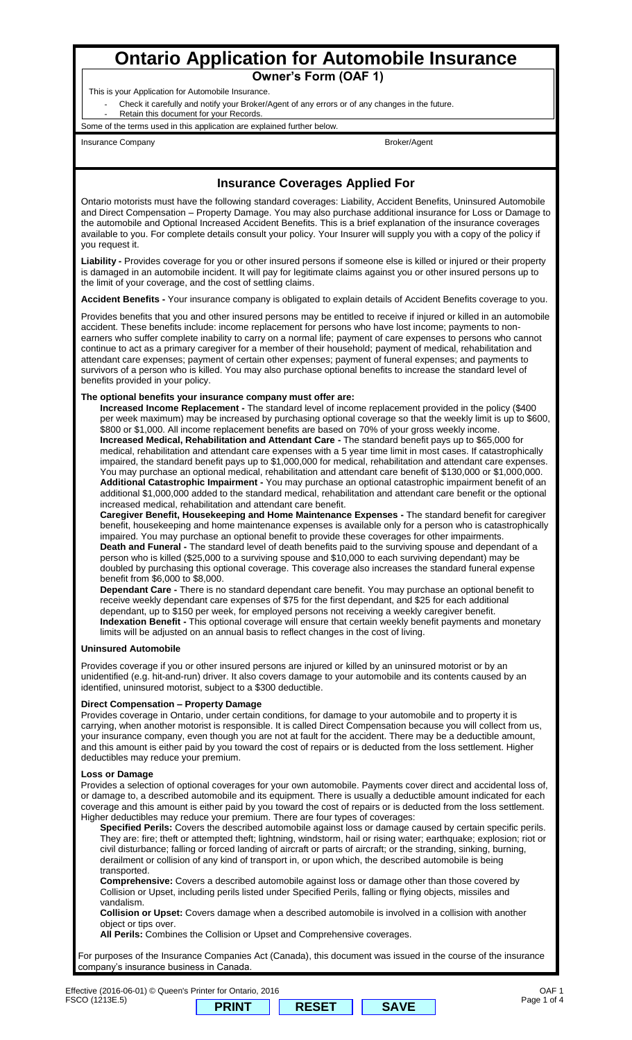# **Ontario Application for Automobile Insurance**

**Owner's Form (OAF 1)**

This is your Application for Automobile Insurance.

Check it carefully and notify your Broker/Agent of any errors or of any changes in the future. Retain this document for your Records.

Some of the terms used in this application are explained further below.

Insurance Company **Broker/Agent** 

# **Insurance Coverages Applied For**

Ontario motorists must have the following standard coverages: Liability, Accident Benefits, Uninsured Automobile and Direct Compensation – Property Damage. You may also purchase additional insurance for Loss or Damage to the automobile and Optional Increased Accident Benefits. This is a brief explanation of the insurance coverages available to you. For complete details consult your policy. Your Insurer will supply you with a copy of the policy if you request it.

**Liability -** Provides coverage for you or other insured persons if someone else is killed or injured or their property is damaged in an automobile incident. It will pay for legitimate claims against you or other insured persons up to the limit of your coverage, and the cost of settling claims.

**Accident Benefits -** Your insurance company is obligated to explain details of Accident Benefits coverage to you.

Provides benefits that you and other insured persons may be entitled to receive if injured or killed in an automobile accident. These benefits include: income replacement for persons who have lost income; payments to nonearners who suffer complete inability to carry on a normal life; payment of care expenses to persons who cannot continue to act as a primary caregiver for a member of their household; payment of medical, rehabilitation and attendant care expenses; payment of certain other expenses; payment of funeral expenses; and payments to survivors of a person who is killed. You may also purchase optional benefits to increase the standard level of benefits provided in your policy.

### **The optional benefits your insurance company must offer are:**

**Increased Income Replacement -** The standard level of income replacement provided in the policy (\$400 per week maximum) may be increased by purchasing optional coverage so that the weekly limit is up to \$600, \$800 or \$1,000. All income replacement benefits are based on 70% of your gross weekly income. **Increased Medical, Rehabilitation and Attendant Care -** The standard benefit pays up to \$65,000 for medical, rehabilitation and attendant care expenses with a 5 year time limit in most cases. If catastrophically impaired, the standard benefit pays up to \$1,000,000 for medical, rehabilitation and attendant care expenses. You may purchase an optional medical, rehabilitation and attendant care benefit of \$130,000 or \$1,000,000. **Additional Catastrophic Impairment -** You may purchase an optional catastrophic impairment benefit of an additional \$1,000,000 added to the standard medical, rehabilitation and attendant care benefit or the optional increased medical, rehabilitation and attendant care benefit.

**Caregiver Benefit, Housekeeping and Home Maintenance Expenses -** The standard benefit for caregiver benefit, housekeeping and home maintenance expenses is available only for a person who is catastrophically impaired. You may purchase an optional benefit to provide these coverages for other impairments. **Death and Funeral -** The standard level of death benefits paid to the surviving spouse and dependant of a person who is killed (\$25,000 to a surviving spouse and \$10,000 to each surviving dependant) may be doubled by purchasing this optional coverage. This coverage also increases the standard funeral expense benefit from \$6,000 to \$8,000.

**Dependant Care -** There is no standard dependant care benefit. You may purchase an optional benefit to receive weekly dependant care expenses of \$75 for the first dependant, and \$25 for each additional dependant, up to \$150 per week, for employed persons not receiving a weekly caregiver benefit. **Indexation Benefit -** This optional coverage will ensure that certain weekly benefit payments and monetary limits will be adjusted on an annual basis to reflect changes in the cost of living.

## **Uninsured Automobile**

Provides coverage if you or other insured persons are injured or killed by an uninsured motorist or by an unidentified (e.g. hit-and-run) driver. It also covers damage to your automobile and its contents caused by an identified, uninsured motorist, subject to a \$300 deductible.

#### **Direct Compensation – Property Damage**

Provides coverage in Ontario, under certain conditions, for damage to your automobile and to property it is carrying, when another motorist is responsible. It is called Direct Compensation because you will collect from us, your insurance company, even though you are not at fault for the accident. There may be a deductible amount, and this amount is either paid by you toward the cost of repairs or is deducted from the loss settlement. Higher deductibles may reduce your premium.

#### **Loss or Damage**

Provides a selection of optional coverages for your own automobile. Payments cover direct and accidental loss of, or damage to, a described automobile and its equipment. There is usually a deductible amount indicated for each coverage and this amount is either paid by you toward the cost of repairs or is deducted from the loss settlement. Higher deductibles may reduce your premium. There are four types of coverages:

**Specified Perils:** Covers the described automobile against loss or damage caused by certain specific perils. They are: fire; theft or attempted theft; lightning, windstorm, hail or rising water; earthquake; explosion; riot or civil disturbance; falling or forced landing of aircraft or parts of aircraft; or the stranding, sinking, burning, derailment or collision of any kind of transport in, or upon which, the described automobile is being transported.

**Comprehensive:** Covers a described automobile against loss or damage other than those covered by Collision or Upset, including perils listed under Specified Perils, falling or flying objects, missiles and vandalism.

**Collision or Upset:** Covers damage when a described automobile is involved in a collision with another object or tips over.

**All Perils:** Combines the Collision or Upset and Comprehensive coverages.

For purposes of the Insurance Companies Act (Canada), this document was issued in the course of the insurance company's insurance business in Canada.

Effective (2016-06-01) © Queen's Printer for Ontario, 2016 FSCO (1213E.5)

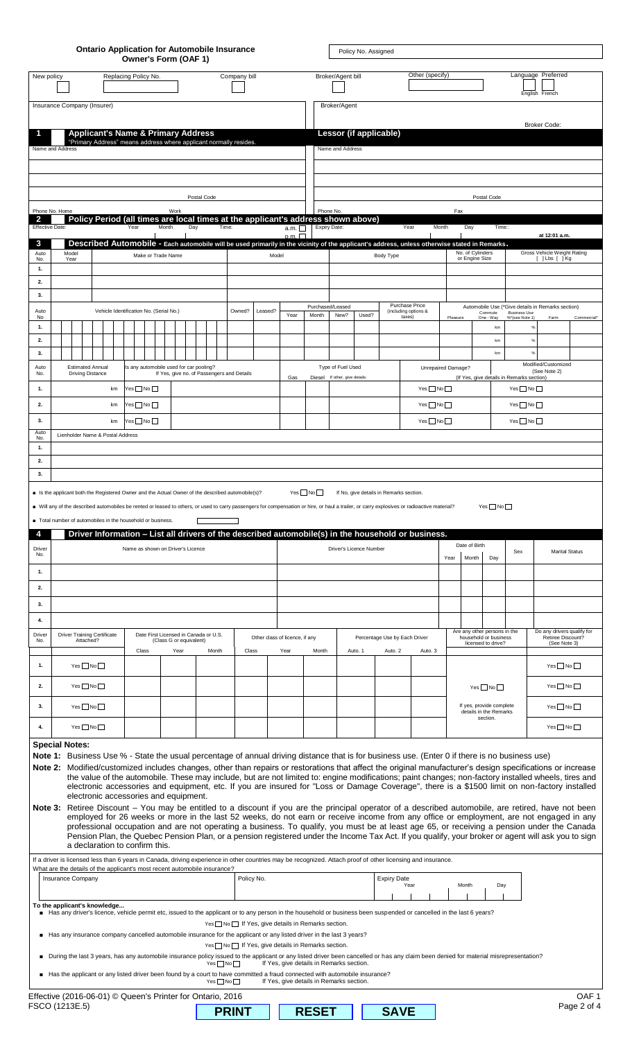|                                               |                                      |                            |                                                    |                                    |  | Owner's Form (OAF 1)                                                                                                          |               |                                                                              |             | <b>Ontario Application for Automobile Insurance</b> |              |                                                                                                                                               |             |                                          |                                             | Policy No. Assigned                     |                    |                                                                                                                                                                                                                                                                                                                                                                                                                                                                                                                                                                                                                                                                                                                                                                                                                                                                                                                                                                                                                                                                                                                                                                                                                              |                                                                 |                                              |                                                                |                                       |                                                           |                                 |
|-----------------------------------------------|--------------------------------------|----------------------------|----------------------------------------------------|------------------------------------|--|-------------------------------------------------------------------------------------------------------------------------------|---------------|------------------------------------------------------------------------------|-------------|-----------------------------------------------------|--------------|-----------------------------------------------------------------------------------------------------------------------------------------------|-------------|------------------------------------------|---------------------------------------------|-----------------------------------------|--------------------|------------------------------------------------------------------------------------------------------------------------------------------------------------------------------------------------------------------------------------------------------------------------------------------------------------------------------------------------------------------------------------------------------------------------------------------------------------------------------------------------------------------------------------------------------------------------------------------------------------------------------------------------------------------------------------------------------------------------------------------------------------------------------------------------------------------------------------------------------------------------------------------------------------------------------------------------------------------------------------------------------------------------------------------------------------------------------------------------------------------------------------------------------------------------------------------------------------------------------|-----------------------------------------------------------------|----------------------------------------------|----------------------------------------------------------------|---------------------------------------|-----------------------------------------------------------|---------------------------------|
| New policy                                    | Company bill<br>Replacing Policy No. |                            |                                                    |                                    |  |                                                                                                                               |               | Other (specify)<br>Language Preferred<br>Broker/Agent bill<br>English French |             |                                                     |              |                                                                                                                                               |             |                                          |                                             |                                         |                    |                                                                                                                                                                                                                                                                                                                                                                                                                                                                                                                                                                                                                                                                                                                                                                                                                                                                                                                                                                                                                                                                                                                                                                                                                              |                                                                 |                                              |                                                                |                                       |                                                           |                                 |
| Insurance Company (Insurer)                   |                                      |                            |                                                    |                                    |  |                                                                                                                               |               |                                                                              |             |                                                     |              |                                                                                                                                               |             |                                          | Broker/Agent                                |                                         |                    |                                                                                                                                                                                                                                                                                                                                                                                                                                                                                                                                                                                                                                                                                                                                                                                                                                                                                                                                                                                                                                                                                                                                                                                                                              |                                                                 |                                              |                                                                |                                       |                                                           |                                 |
|                                               |                                      |                            |                                                    |                                    |  | <b>Applicant's Name &amp; Primary Address</b>                                                                                 |               |                                                                              |             |                                                     |              |                                                                                                                                               |             |                                          |                                             | Lessor (if applicable)                  |                    |                                                                                                                                                                                                                                                                                                                                                                                                                                                                                                                                                                                                                                                                                                                                                                                                                                                                                                                                                                                                                                                                                                                                                                                                                              |                                                                 |                                              |                                                                |                                       | <b>Broker Code:</b>                                       |                                 |
| Name and Address                              |                                      |                            |                                                    |                                    |  | "Primary Address" means address where applicant normally resides.                                                             |               |                                                                              |             |                                                     |              |                                                                                                                                               |             |                                          | Name and Address                            |                                         |                    |                                                                                                                                                                                                                                                                                                                                                                                                                                                                                                                                                                                                                                                                                                                                                                                                                                                                                                                                                                                                                                                                                                                                                                                                                              |                                                                 |                                              |                                                                |                                       |                                                           |                                 |
|                                               |                                      |                            |                                                    |                                    |  |                                                                                                                               |               |                                                                              |             |                                                     |              |                                                                                                                                               |             |                                          |                                             |                                         |                    |                                                                                                                                                                                                                                                                                                                                                                                                                                                                                                                                                                                                                                                                                                                                                                                                                                                                                                                                                                                                                                                                                                                                                                                                                              |                                                                 |                                              |                                                                |                                       |                                                           |                                 |
|                                               |                                      |                            |                                                    |                                    |  |                                                                                                                               |               |                                                                              | Postal Code |                                                     |              |                                                                                                                                               |             |                                          |                                             |                                         |                    |                                                                                                                                                                                                                                                                                                                                                                                                                                                                                                                                                                                                                                                                                                                                                                                                                                                                                                                                                                                                                                                                                                                                                                                                                              |                                                                 |                                              | Postal Code                                                    |                                       |                                                           |                                 |
| Phone No. Home<br>2<br><b>Effective Date:</b> |                                      |                            |                                                    |                                    |  | Policy Period (all times are local times at the applicant's address shown above)<br>Year                                      | Month         | Work                                                                         | Day         | Time:                                               |              |                                                                                                                                               | a.m. $\Box$ |                                          | Phone No.<br>Expiry Date:                   |                                         |                    | Year                                                                                                                                                                                                                                                                                                                                                                                                                                                                                                                                                                                                                                                                                                                                                                                                                                                                                                                                                                                                                                                                                                                                                                                                                         | Fax<br>Month                                                    | Day                                          | Time::                                                         |                                       |                                                           |                                 |
| 3<br>Auto                                     |                                      | Model                      |                                                    |                                    |  |                                                                                                                               | $p.m.$ $\Box$ |                                                                              |             |                                                     |              | Described Automobile - Each automobile will be used primarily in the vicinity of the applicant's address, unless otherwise stated in Remarks. |             |                                          |                                             |                                         | No. of Cylinders   |                                                                                                                                                                                                                                                                                                                                                                                                                                                                                                                                                                                                                                                                                                                                                                                                                                                                                                                                                                                                                                                                                                                                                                                                                              |                                                                 | at 12:01 a.m.<br>Gross Vehicle Weight Rating |                                                                |                                       |                                                           |                                 |
| No.<br>1.                                     |                                      | Make or Trade Name<br>Year |                                                    |                                    |  | Model                                                                                                                         |               |                                                                              |             |                                                     | Body Type    |                                                                                                                                               |             |                                          | or Engine Size                              |                                         |                    | $[$ $]$ Lbs $[$ $]$ Kg                                                                                                                                                                                                                                                                                                                                                                                                                                                                                                                                                                                                                                                                                                                                                                                                                                                                                                                                                                                                                                                                                                                                                                                                       |                                                                 |                                              |                                                                |                                       |                                                           |                                 |
| 2.<br>3.                                      |                                      |                            |                                                    |                                    |  |                                                                                                                               |               |                                                                              |             |                                                     |              |                                                                                                                                               |             |                                          |                                             |                                         |                    |                                                                                                                                                                                                                                                                                                                                                                                                                                                                                                                                                                                                                                                                                                                                                                                                                                                                                                                                                                                                                                                                                                                                                                                                                              |                                                                 |                                              |                                                                |                                       |                                                           |                                 |
| Auto<br>No                                    |                                      |                            |                                                    |                                    |  | Vehicle Identification No. (Serial No.)                                                                                       |               |                                                                              |             |                                                     | Owned?       | Leased?                                                                                                                                       | Year        | Month                                    | Purchased/Leased<br>New?                    | Used?                                   |                    | Purchase Price<br>(including options &<br>taxes)                                                                                                                                                                                                                                                                                                                                                                                                                                                                                                                                                                                                                                                                                                                                                                                                                                                                                                                                                                                                                                                                                                                                                                             | Pleasure                                                        |                                              | Commute<br>One - Wav                                           | <b>Business Use</b><br>%*(see Note 1) | Automobile Use (*Give details in Remarks section)<br>Farm | Commercial*                     |
| 1.<br>2.                                      |                                      |                            |                                                    |                                    |  |                                                                                                                               |               |                                                                              |             |                                                     |              |                                                                                                                                               |             |                                          |                                             |                                         |                    |                                                                                                                                                                                                                                                                                                                                                                                                                                                                                                                                                                                                                                                                                                                                                                                                                                                                                                                                                                                                                                                                                                                                                                                                                              |                                                                 |                                              | km<br>km                                                       |                                       | $\frac{1}{2}$<br>%                                        |                                 |
| 3.                                            |                                      |                            |                                                    |                                    |  |                                                                                                                               |               |                                                                              |             |                                                     |              |                                                                                                                                               |             |                                          |                                             |                                         |                    |                                                                                                                                                                                                                                                                                                                                                                                                                                                                                                                                                                                                                                                                                                                                                                                                                                                                                                                                                                                                                                                                                                                                                                                                                              |                                                                 |                                              | km                                                             |                                       | Modified/Customized                                       |                                 |
| Auto<br>No.<br>1.                             |                                      |                            | <b>Estimated Annual</b><br><b>Driving Distance</b> | km                                 |  | Is any automobile used for car pooling?<br>Yes <sup>No</sup>                                                                  |               |                                                                              |             | If Yes, give no. of Passengers and Details          |              |                                                                                                                                               | Gas         | Diesel                                   | Type of Fuel Used<br>If other, give details |                                         |                    | Yes <sup>n</sup> No                                                                                                                                                                                                                                                                                                                                                                                                                                                                                                                                                                                                                                                                                                                                                                                                                                                                                                                                                                                                                                                                                                                                                                                                          | Unrepaired Damage?<br>(If Yes, give details in Remarks section) |                                              |                                                                | $Yes$ No                              | (See Note 2)                                              |                                 |
| 2.                                            |                                      |                            |                                                    | km                                 |  | $Yes \Box No \Box$                                                                                                            |               |                                                                              |             |                                                     |              |                                                                                                                                               |             |                                          |                                             |                                         |                    | $Yes \Box No \Box$                                                                                                                                                                                                                                                                                                                                                                                                                                                                                                                                                                                                                                                                                                                                                                                                                                                                                                                                                                                                                                                                                                                                                                                                           |                                                                 |                                              |                                                                | $Yes \Box No \Box$                    |                                                           |                                 |
| 3.<br>Auto                                    |                                      |                            |                                                    | km                                 |  | Yes No                                                                                                                        |               |                                                                              |             |                                                     |              |                                                                                                                                               |             |                                          |                                             |                                         |                    | Yes <sup>In</sup> No                                                                                                                                                                                                                                                                                                                                                                                                                                                                                                                                                                                                                                                                                                                                                                                                                                                                                                                                                                                                                                                                                                                                                                                                         |                                                                 |                                              |                                                                | Yes <sup>No</sup>                     |                                                           |                                 |
| No.<br>1.                                     |                                      |                            |                                                    | Lienholder Name & Postal Address   |  |                                                                                                                               |               |                                                                              |             |                                                     |              |                                                                                                                                               |             |                                          |                                             |                                         |                    |                                                                                                                                                                                                                                                                                                                                                                                                                                                                                                                                                                                                                                                                                                                                                                                                                                                                                                                                                                                                                                                                                                                                                                                                                              |                                                                 |                                              |                                                                |                                       |                                                           |                                 |
| 2.<br>3.                                      |                                      |                            |                                                    |                                    |  |                                                                                                                               |               |                                                                              |             |                                                     |              |                                                                                                                                               |             |                                          |                                             |                                         |                    |                                                                                                                                                                                                                                                                                                                                                                                                                                                                                                                                                                                                                                                                                                                                                                                                                                                                                                                                                                                                                                                                                                                                                                                                                              |                                                                 |                                              |                                                                |                                       |                                                           |                                 |
|                                               |                                      |                            |                                                    |                                    |  | s Is the applicant both the Registered Owner and the Actual Owner of the described automobile(s)?                             |               |                                                                              |             |                                                     |              |                                                                                                                                               |             | $Yes \Box No \Box$                       |                                             | If No, give details in Remarks section. |                    |                                                                                                                                                                                                                                                                                                                                                                                                                                                                                                                                                                                                                                                                                                                                                                                                                                                                                                                                                                                                                                                                                                                                                                                                                              |                                                                 |                                              |                                                                |                                       |                                                           |                                 |
|                                               |                                      |                            |                                                    |                                    |  | Total number of automobiles in the household or business.                                                                     |               |                                                                              |             |                                                     |              |                                                                                                                                               |             |                                          |                                             |                                         |                    | Will any of the described automobiles be rented or leased to others, or used to carry passengers for compensation or hire, or haul a trailer, or carry explosives or radioactive material?                                                                                                                                                                                                                                                                                                                                                                                                                                                                                                                                                                                                                                                                                                                                                                                                                                                                                                                                                                                                                                   |                                                                 |                                              | $Yes \Box No \Box$                                             |                                       |                                                           |                                 |
| 4                                             |                                      |                            |                                                    |                                    |  |                                                                                                                               |               |                                                                              |             |                                                     |              |                                                                                                                                               |             |                                          |                                             |                                         |                    | Driver Information – List all drivers of the described automobile(s) in the household or business.                                                                                                                                                                                                                                                                                                                                                                                                                                                                                                                                                                                                                                                                                                                                                                                                                                                                                                                                                                                                                                                                                                                           |                                                                 | Date of Birth                                |                                                                |                                       |                                                           |                                 |
| <b>Driver</b><br>No.                          |                                      |                            |                                                    |                                    |  |                                                                                                                               |               |                                                                              |             |                                                     |              |                                                                                                                                               |             |                                          |                                             |                                         |                    |                                                                                                                                                                                                                                                                                                                                                                                                                                                                                                                                                                                                                                                                                                                                                                                                                                                                                                                                                                                                                                                                                                                                                                                                                              |                                                                 |                                              |                                                                |                                       |                                                           |                                 |
|                                               |                                      |                            |                                                    |                                    |  | Name as shown on Driver's Licence                                                                                             |               |                                                                              |             |                                                     |              |                                                                                                                                               |             |                                          |                                             | Driver's Licence Number                 |                    |                                                                                                                                                                                                                                                                                                                                                                                                                                                                                                                                                                                                                                                                                                                                                                                                                                                                                                                                                                                                                                                                                                                                                                                                                              | Year                                                            | Month                                        | Day                                                            | Sex                                   |                                                           | <b>Marital Status</b>           |
| 1.<br>2.                                      |                                      |                            |                                                    |                                    |  |                                                                                                                               |               |                                                                              |             |                                                     |              |                                                                                                                                               |             |                                          |                                             |                                         |                    |                                                                                                                                                                                                                                                                                                                                                                                                                                                                                                                                                                                                                                                                                                                                                                                                                                                                                                                                                                                                                                                                                                                                                                                                                              |                                                                 |                                              |                                                                |                                       |                                                           |                                 |
| 3.                                            |                                      |                            |                                                    |                                    |  |                                                                                                                               |               |                                                                              |             |                                                     |              |                                                                                                                                               |             |                                          |                                             |                                         |                    |                                                                                                                                                                                                                                                                                                                                                                                                                                                                                                                                                                                                                                                                                                                                                                                                                                                                                                                                                                                                                                                                                                                                                                                                                              |                                                                 |                                              |                                                                |                                       |                                                           |                                 |
| 4.<br>Driver                                  |                                      |                            |                                                    | <b>Driver Training Certificate</b> |  | Date First Licensed in Canada or U.S.                                                                                         |               |                                                                              |             |                                                     |              |                                                                                                                                               |             |                                          |                                             |                                         |                    |                                                                                                                                                                                                                                                                                                                                                                                                                                                                                                                                                                                                                                                                                                                                                                                                                                                                                                                                                                                                                                                                                                                                                                                                                              |                                                                 |                                              | Are any other persons in the                                   |                                       | Do any drivers qualify for                                |                                 |
| No.                                           |                                      |                            | Attached?                                          |                                    |  | Class                                                                                                                         |               | (Class G or equivalent)<br>Year                                              |             | Month                                               |              | Other class of licence, if any<br>Class                                                                                                       | Year        | Month                                    |                                             | Auto. 1                                 | Auto. 2            | Percentage Use by Each Driver<br>Auto. 3                                                                                                                                                                                                                                                                                                                                                                                                                                                                                                                                                                                                                                                                                                                                                                                                                                                                                                                                                                                                                                                                                                                                                                                     |                                                                 |                                              | household or business<br>licensed to drive?                    |                                       | Retiree Discount?<br>(See Note 3)                         |                                 |
| 1.                                            |                                      |                            | $Yes \blacksquare No \blacksquare$                 |                                    |  |                                                                                                                               |               |                                                                              |             |                                                     |              |                                                                                                                                               |             |                                          |                                             |                                         |                    |                                                                                                                                                                                                                                                                                                                                                                                                                                                                                                                                                                                                                                                                                                                                                                                                                                                                                                                                                                                                                                                                                                                                                                                                                              |                                                                 |                                              |                                                                |                                       | Yes <sup>No</sup>                                         |                                 |
| 2.                                            |                                      |                            | $Yes \Box No \Box$                                 |                                    |  |                                                                                                                               |               |                                                                              |             |                                                     |              |                                                                                                                                               |             |                                          |                                             |                                         |                    |                                                                                                                                                                                                                                                                                                                                                                                                                                                                                                                                                                                                                                                                                                                                                                                                                                                                                                                                                                                                                                                                                                                                                                                                                              |                                                                 |                                              | $Yes \Box No \Box$                                             |                                       | $Yes$ No                                                  |                                 |
| 3.                                            |                                      |                            | $Yes \blacksquare No \blacksquare$                 |                                    |  |                                                                                                                               |               |                                                                              |             |                                                     |              |                                                                                                                                               |             |                                          |                                             |                                         |                    |                                                                                                                                                                                                                                                                                                                                                                                                                                                                                                                                                                                                                                                                                                                                                                                                                                                                                                                                                                                                                                                                                                                                                                                                                              |                                                                 |                                              | If yes, provide complete<br>details in the Remarks<br>section. |                                       | $Yes \t\nNo \t\n$                                         |                                 |
| 4.<br><b>Special Notes:</b>                   |                                      |                            | $Yes \Box No \Box$                                 |                                    |  |                                                                                                                               |               |                                                                              |             |                                                     |              |                                                                                                                                               |             |                                          |                                             |                                         |                    |                                                                                                                                                                                                                                                                                                                                                                                                                                                                                                                                                                                                                                                                                                                                                                                                                                                                                                                                                                                                                                                                                                                                                                                                                              |                                                                 |                                              |                                                                |                                       | $Yes \blacksquare No \blacksquare$                        |                                 |
|                                               |                                      |                            |                                                    |                                    |  | electronic accessories and equipment.<br>a declaration to confirm this.                                                       |               |                                                                              |             |                                                     |              |                                                                                                                                               |             |                                          |                                             |                                         |                    | Note 1: Business Use % - State the usual percentage of annual driving distance that is for business use. (Enter 0 if there is no business use)<br>Note 2: Modified/customized includes changes, other than repairs or restorations that affect the original manufacturer's design specifications or increase<br>the value of the automobile. These may include, but are not limited to: engine modifications; paint changes; non-factory installed wheels, tires and<br>electronic accessories and equipment, etc. If you are insured for "Loss or Damage Coverage", there is a \$1500 limit on non-factory installed<br>Note 3: Retiree Discount – You may be entitled to a discount if you are the principal operator of a described automobile, are retired, have not been<br>employed for 26 weeks or more in the last 52 weeks, do not earn or receive income from any office or employment, are not engaged in any<br>professional occupation and are not operating a business. To qualify, you must be at least age 65, or receiving a pension under the Canada<br>Pension Plan, the Quebec Pension Plan, or a pension registered under the Income Tax Act. If you qualify, your broker or agent will ask you to sign |                                                                 |                                              |                                                                |                                       |                                                           |                                 |
|                                               |                                      |                            |                                                    |                                    |  | What are the details of the applicant's most recent automobile insurance?                                                     |               |                                                                              |             |                                                     |              |                                                                                                                                               |             |                                          |                                             |                                         |                    | If a driver is licensed less than 6 years in Canada, driving experience in other countries may be recognized. Attach proof of other licensing and insurance.                                                                                                                                                                                                                                                                                                                                                                                                                                                                                                                                                                                                                                                                                                                                                                                                                                                                                                                                                                                                                                                                 |                                                                 |                                              |                                                                |                                       |                                                           |                                 |
|                                               |                                      |                            | Insurance Company                                  |                                    |  |                                                                                                                               |               |                                                                              |             |                                                     |              | Policy No.                                                                                                                                    |             |                                          |                                             |                                         | <b>Expiry Date</b> | Year                                                                                                                                                                                                                                                                                                                                                                                                                                                                                                                                                                                                                                                                                                                                                                                                                                                                                                                                                                                                                                                                                                                                                                                                                         |                                                                 | Month                                        | Day                                                            |                                       |                                                           |                                 |
|                                               |                                      |                            |                                                    | To the applicant's knowledge       |  |                                                                                                                               |               |                                                                              |             |                                                     |              |                                                                                                                                               |             |                                          |                                             |                                         |                    | Has any driver's licence, vehicle permit etc, issued to the applicant or to any person in the household or business been suspended or cancelled in the last 6 years?                                                                                                                                                                                                                                                                                                                                                                                                                                                                                                                                                                                                                                                                                                                                                                                                                                                                                                                                                                                                                                                         |                                                                 |                                              |                                                                |                                       |                                                           |                                 |
|                                               |                                      |                            |                                                    |                                    |  | Has any insurance company cancelled automobile insurance for the applicant or any listed driver in the last 3 years?          |               |                                                                              |             |                                                     |              | Yes No II If Yes, give details in Remarks section.                                                                                            |             |                                          |                                             |                                         |                    |                                                                                                                                                                                                                                                                                                                                                                                                                                                                                                                                                                                                                                                                                                                                                                                                                                                                                                                                                                                                                                                                                                                                                                                                                              |                                                                 |                                              |                                                                |                                       |                                                           |                                 |
|                                               |                                      |                            |                                                    |                                    |  |                                                                                                                               |               |                                                                              |             |                                                     |              | Yes No I If Yes, give details in Remarks section.                                                                                             |             |                                          |                                             |                                         |                    | ■ During the last 3 years, has any automobile insurance policy issued to the applicant or any listed driver been cancelled or has any claim been denied for material misrepresentation?                                                                                                                                                                                                                                                                                                                                                                                                                                                                                                                                                                                                                                                                                                                                                                                                                                                                                                                                                                                                                                      |                                                                 |                                              |                                                                |                                       |                                                           |                                 |
|                                               |                                      |                            |                                                    |                                    |  | ■ Has the applicant or any listed driver been found by a court to have committed a fraud connected with automobile insurance? |               |                                                                              |             |                                                     |              |                                                                                                                                               |             | If Yes, give details in Remarks section. |                                             |                                         |                    |                                                                                                                                                                                                                                                                                                                                                                                                                                                                                                                                                                                                                                                                                                                                                                                                                                                                                                                                                                                                                                                                                                                                                                                                                              |                                                                 |                                              |                                                                |                                       |                                                           |                                 |
| FSCO (1213E.5)                                |                                      |                            |                                                    |                                    |  | Effective (2016-06-01) © Queen's Printer for Ontario, 2016                                                                    |               |                                                                              |             | $Yes \blacksquare No \blacksquare$                  | <b>PRINT</b> |                                                                                                                                               |             | If Yes, give details in Remarks section. |                                             |                                         | <b>SAVE</b>        |                                                                                                                                                                                                                                                                                                                                                                                                                                                                                                                                                                                                                                                                                                                                                                                                                                                                                                                                                                                                                                                                                                                                                                                                                              |                                                                 |                                              |                                                                |                                       |                                                           | OAF <sub>1</sub><br>Page 2 of 4 |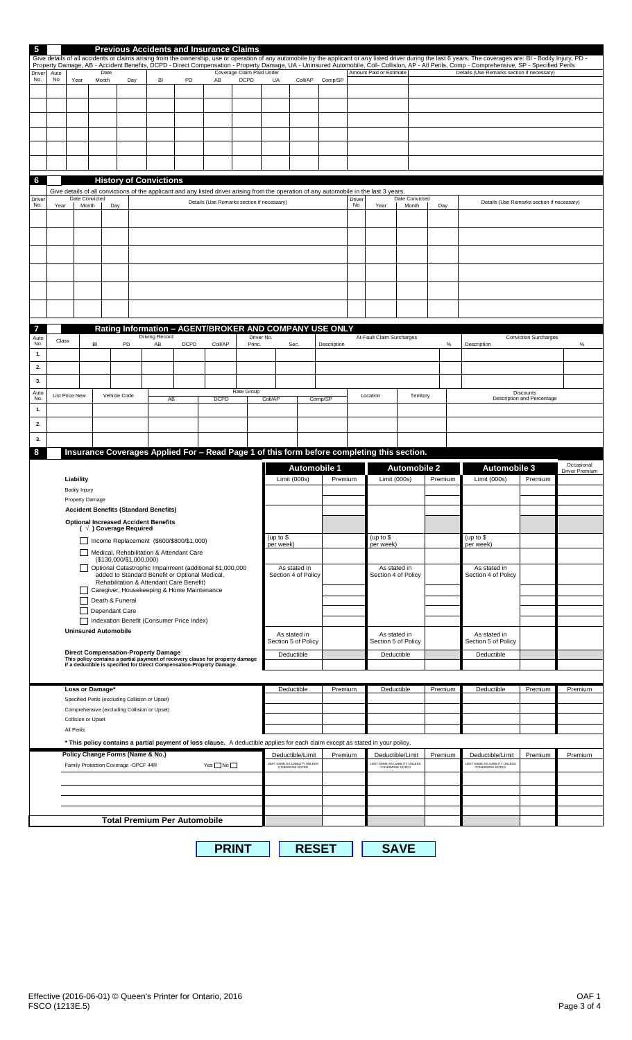| 5             |                                                             |                                                               |                    |                                |                                                                                                 |    |                                                | <b>Previous Accidents and Insurance Claims</b>                                                                                                         |              |                                 |                                                                                                                                                   |              |        |                                                   |                     |                                            |                                                                                                                                                                                                                                                                                                                                                                                                                      |                              |                              |  |
|---------------|-------------------------------------------------------------|---------------------------------------------------------------|--------------------|--------------------------------|-------------------------------------------------------------------------------------------------|----|------------------------------------------------|--------------------------------------------------------------------------------------------------------------------------------------------------------|--------------|---------------------------------|---------------------------------------------------------------------------------------------------------------------------------------------------|--------------|--------|---------------------------------------------------|---------------------|--------------------------------------------|----------------------------------------------------------------------------------------------------------------------------------------------------------------------------------------------------------------------------------------------------------------------------------------------------------------------------------------------------------------------------------------------------------------------|------------------------------|------------------------------|--|
|               |                                                             |                                                               |                    |                                |                                                                                                 |    |                                                |                                                                                                                                                        |              |                                 |                                                                                                                                                   |              |        |                                                   |                     |                                            | Give details of all accidents or claims arising from the ownership, use or operation of any automobile by the applicant or any listed driver during the last 6 years. The coverages are: BI - Bodily Injury, PD -<br>Property Damage, AB - Accident Benefits, DCPD - Direct Compensation - Property Damage, UA - Uninsured Automobile, Coll- Collision, AP - All Perils, Comp - Comprehensive, SP - Specified Perils |                              |                              |  |
| Driver<br>No. | Auto<br>No                                                  | Date<br>Month<br>Day<br>Year                                  |                    |                                |                                                                                                 | BI | PD                                             | AB                                                                                                                                                     | <b>DCPD</b>  | Coverage Claim Paid Under<br>UA | Coll/AP                                                                                                                                           | Comp/SP      |        | Amount Paid or Estimate                           |                     | Details (Use Remarks section if necessary) |                                                                                                                                                                                                                                                                                                                                                                                                                      |                              |                              |  |
|               |                                                             |                                                               |                    |                                |                                                                                                 |    |                                                |                                                                                                                                                        |              |                                 |                                                                                                                                                   |              |        |                                                   |                     |                                            |                                                                                                                                                                                                                                                                                                                                                                                                                      |                              |                              |  |
|               |                                                             |                                                               |                    |                                |                                                                                                 |    |                                                |                                                                                                                                                        |              |                                 |                                                                                                                                                   |              |        |                                                   |                     |                                            |                                                                                                                                                                                                                                                                                                                                                                                                                      |                              |                              |  |
|               |                                                             |                                                               |                    |                                |                                                                                                 |    |                                                |                                                                                                                                                        |              |                                 |                                                                                                                                                   |              |        |                                                   |                     |                                            |                                                                                                                                                                                                                                                                                                                                                                                                                      |                              |                              |  |
|               |                                                             |                                                               |                    |                                |                                                                                                 |    |                                                |                                                                                                                                                        |              |                                 |                                                                                                                                                   |              |        |                                                   |                     |                                            |                                                                                                                                                                                                                                                                                                                                                                                                                      |                              |                              |  |
|               |                                                             |                                                               |                    |                                |                                                                                                 |    |                                                |                                                                                                                                                        |              |                                 |                                                                                                                                                   |              |        |                                                   |                     |                                            |                                                                                                                                                                                                                                                                                                                                                                                                                      |                              |                              |  |
|               |                                                             |                                                               |                    |                                |                                                                                                 |    |                                                |                                                                                                                                                        |              |                                 |                                                                                                                                                   |              |        |                                                   |                     |                                            |                                                                                                                                                                                                                                                                                                                                                                                                                      |                              |                              |  |
| 6             |                                                             |                                                               |                    |                                | <b>History of Convictions</b>                                                                   |    |                                                |                                                                                                                                                        |              |                                 |                                                                                                                                                   |              |        |                                                   |                     |                                            |                                                                                                                                                                                                                                                                                                                                                                                                                      |                              |                              |  |
| Driver        |                                                             |                                                               | Date Convicted     |                                |                                                                                                 |    |                                                |                                                                                                                                                        |              |                                 | Give details of all convictions of the applicant and any listed driver arising from the operation of any automobile in the last 3 years.          |              | Driver |                                                   | Date Convicted      |                                            |                                                                                                                                                                                                                                                                                                                                                                                                                      |                              |                              |  |
| No.           | Year                                                        |                                                               | Month              | Day                            |                                                                                                 |    |                                                | Details (Use Remarks section if necessary)                                                                                                             |              |                                 |                                                                                                                                                   |              | No     | Year                                              | Month               | Day                                        | Details (Use Remarks section if necessary)                                                                                                                                                                                                                                                                                                                                                                           |                              |                              |  |
|               |                                                             |                                                               |                    |                                |                                                                                                 |    |                                                |                                                                                                                                                        |              |                                 |                                                                                                                                                   |              |        |                                                   |                     |                                            |                                                                                                                                                                                                                                                                                                                                                                                                                      |                              |                              |  |
|               |                                                             |                                                               |                    |                                |                                                                                                 |    |                                                |                                                                                                                                                        |              |                                 |                                                                                                                                                   |              |        |                                                   |                     |                                            |                                                                                                                                                                                                                                                                                                                                                                                                                      |                              |                              |  |
|               |                                                             |                                                               |                    |                                |                                                                                                 |    |                                                |                                                                                                                                                        |              |                                 |                                                                                                                                                   |              |        |                                                   |                     |                                            |                                                                                                                                                                                                                                                                                                                                                                                                                      |                              |                              |  |
|               |                                                             |                                                               |                    |                                |                                                                                                 |    |                                                |                                                                                                                                                        |              |                                 |                                                                                                                                                   |              |        |                                                   |                     |                                            |                                                                                                                                                                                                                                                                                                                                                                                                                      |                              |                              |  |
|               |                                                             |                                                               |                    |                                |                                                                                                 |    |                                                |                                                                                                                                                        |              |                                 |                                                                                                                                                   |              |        |                                                   |                     |                                            |                                                                                                                                                                                                                                                                                                                                                                                                                      |                              |                              |  |
|               |                                                             |                                                               |                    |                                |                                                                                                 |    |                                                |                                                                                                                                                        |              |                                 |                                                                                                                                                   |              |        |                                                   |                     |                                            |                                                                                                                                                                                                                                                                                                                                                                                                                      |                              |                              |  |
|               |                                                             |                                                               |                    |                                |                                                                                                 |    |                                                |                                                                                                                                                        |              |                                 |                                                                                                                                                   |              |        |                                                   |                     |                                            |                                                                                                                                                                                                                                                                                                                                                                                                                      |                              |                              |  |
|               |                                                             |                                                               |                    |                                |                                                                                                 |    |                                                |                                                                                                                                                        |              |                                 | Rating Information - AGENT/BROKER AND COMPANY USE ONLY                                                                                            |              |        |                                                   |                     |                                            |                                                                                                                                                                                                                                                                                                                                                                                                                      |                              |                              |  |
| Auto<br>No.   | Class                                                       |                                                               | BI                 | PD                             | <b>Driving Record</b><br>AB                                                                     |    | <b>DCPD</b>                                    | Coll/AP                                                                                                                                                |              | Driver No.<br>Princ.            | Sec.                                                                                                                                              | Description  |        | At-Fault Claim Surcharges                         |                     | $\%$                                       | Description                                                                                                                                                                                                                                                                                                                                                                                                          | <b>Conviction Surcharges</b> | $\%$                         |  |
| 1.            |                                                             |                                                               |                    |                                |                                                                                                 |    |                                                |                                                                                                                                                        |              |                                 |                                                                                                                                                   |              |        |                                                   |                     |                                            |                                                                                                                                                                                                                                                                                                                                                                                                                      |                              |                              |  |
| 2.            |                                                             |                                                               |                    |                                |                                                                                                 |    |                                                |                                                                                                                                                        |              |                                 |                                                                                                                                                   |              |        |                                                   |                     |                                            |                                                                                                                                                                                                                                                                                                                                                                                                                      |                              |                              |  |
| 3.<br>Auto    |                                                             | <b>List Price New</b>                                         |                    |                                |                                                                                                 |    |                                                |                                                                                                                                                        | Rate Group   |                                 |                                                                                                                                                   |              |        |                                                   |                     |                                            |                                                                                                                                                                                                                                                                                                                                                                                                                      | Discounts                    |                              |  |
| No.<br>1.     |                                                             |                                                               |                    | Vehicle Code                   |                                                                                                 | AB |                                                | <b>DCPD</b>                                                                                                                                            |              | Coll/AP                         |                                                                                                                                                   | Comp/SP      |        | Location                                          | Territory           |                                            |                                                                                                                                                                                                                                                                                                                                                                                                                      | Description and Percentage   |                              |  |
| 2.            |                                                             |                                                               |                    |                                |                                                                                                 |    |                                                |                                                                                                                                                        |              |                                 |                                                                                                                                                   |              |        |                                                   |                     |                                            |                                                                                                                                                                                                                                                                                                                                                                                                                      |                              |                              |  |
| 3.            |                                                             |                                                               |                    |                                |                                                                                                 |    |                                                |                                                                                                                                                        |              |                                 |                                                                                                                                                   |              |        |                                                   |                     |                                            |                                                                                                                                                                                                                                                                                                                                                                                                                      |                              |                              |  |
| 8             |                                                             |                                                               |                    |                                |                                                                                                 |    |                                                |                                                                                                                                                        |              |                                 | Insurance Coverages Applied For - Read Page 1 of this form before completing this section.                                                        |              |        |                                                   |                     |                                            |                                                                                                                                                                                                                                                                                                                                                                                                                      |                              |                              |  |
|               |                                                             |                                                               |                    |                                |                                                                                                 |    |                                                |                                                                                                                                                        |              |                                 | <b>Automobile 1</b>                                                                                                                               |              |        |                                                   | <b>Automobile 2</b> |                                            | <b>Automobile 3</b>                                                                                                                                                                                                                                                                                                                                                                                                  |                              | Occasional<br>Driver Premium |  |
|               |                                                             | Liability                                                     |                    |                                |                                                                                                 |    |                                                |                                                                                                                                                        |              |                                 | Limit (000s)                                                                                                                                      | Premium      |        | Limit (000s)                                      |                     | Premium                                    | Limit (000s)                                                                                                                                                                                                                                                                                                                                                                                                         | Premium                      |                              |  |
|               |                                                             | <b>Bodily Injury</b><br>Property Damage                       |                    |                                |                                                                                                 |    |                                                |                                                                                                                                                        |              |                                 |                                                                                                                                                   |              |        |                                                   |                     |                                            |                                                                                                                                                                                                                                                                                                                                                                                                                      |                              |                              |  |
|               |                                                             |                                                               |                    |                                | <b>Accident Benefits (Standard Benefits)</b>                                                    |    |                                                |                                                                                                                                                        |              |                                 |                                                                                                                                                   |              |        |                                                   |                     |                                            |                                                                                                                                                                                                                                                                                                                                                                                                                      |                              |                              |  |
|               |                                                             |                                                               |                    | $( \sqrt{})$ Coverage Required | <b>Optional Increased Accident Benefits</b>                                                     |    |                                                |                                                                                                                                                        |              |                                 |                                                                                                                                                   |              |        |                                                   |                     |                                            |                                                                                                                                                                                                                                                                                                                                                                                                                      |                              |                              |  |
|               |                                                             |                                                               |                    |                                |                                                                                                 |    | Income Replacement (\$600/\$800/\$1,000)       |                                                                                                                                                        |              | (up to \$<br>per week)          |                                                                                                                                                   |              |        | (up to $$$<br>per week)                           |                     |                                            | (up to \$<br>per week)                                                                                                                                                                                                                                                                                                                                                                                               |                              |                              |  |
|               |                                                             |                                                               |                    |                                | $($130,000/\$1,000,000)$                                                                        |    | Medical, Rehabilitation & Attendant Care       |                                                                                                                                                        |              |                                 |                                                                                                                                                   |              |        | As stated in<br>Section 4 of Policy               |                     |                                            |                                                                                                                                                                                                                                                                                                                                                                                                                      |                              |                              |  |
|               |                                                             |                                                               |                    |                                |                                                                                                 |    | added to Standard Benefit or Optional Medical, | Optional Catastrophic Impairment (additional \$1,000,000                                                                                               |              |                                 | As stated in<br>Section 4 of Policy                                                                                                               |              |        |                                                   |                     |                                            | As stated in<br>Section 4 of Policy                                                                                                                                                                                                                                                                                                                                                                                  |                              |                              |  |
|               |                                                             |                                                               |                    |                                |                                                                                                 |    | Rehabilitation & Attendant Care Benefit)       |                                                                                                                                                        |              |                                 |                                                                                                                                                   |              |        |                                                   |                     |                                            |                                                                                                                                                                                                                                                                                                                                                                                                                      |                              |                              |  |
|               |                                                             | Caregiver, Housekeeping & Home Maintenance<br>Death & Funeral |                    |                                |                                                                                                 |    |                                                |                                                                                                                                                        |              |                                 |                                                                                                                                                   |              |        |                                                   |                     |                                            |                                                                                                                                                                                                                                                                                                                                                                                                                      |                              |                              |  |
|               | Dependant Care<br>Indexation Benefit (Consumer Price Index) |                                                               |                    |                                |                                                                                                 |    |                                                |                                                                                                                                                        |              |                                 |                                                                                                                                                   |              |        |                                                   |                     |                                            |                                                                                                                                                                                                                                                                                                                                                                                                                      |                              |                              |  |
|               |                                                             | <b>Uninsured Automobile</b>                                   |                    |                                |                                                                                                 |    |                                                |                                                                                                                                                        |              |                                 | As stated in                                                                                                                                      |              |        | As stated in                                      |                     |                                            | As stated in                                                                                                                                                                                                                                                                                                                                                                                                         |                              |                              |  |
|               |                                                             |                                                               |                    |                                |                                                                                                 |    |                                                |                                                                                                                                                        |              |                                 | Section 5 of Policy                                                                                                                               |              |        | Section 5 of Policy                               |                     |                                            | Section 5 of Policy                                                                                                                                                                                                                                                                                                                                                                                                  |                              |                              |  |
|               |                                                             |                                                               |                    |                                | <b>Direct Compensation-Property Damage</b>                                                      |    |                                                | This policy contains a partial payment of recovery clause for property damage<br>if a deductible is specified for Direct Compensation-Property Damage. |              |                                 | Deductible                                                                                                                                        |              |        | Deductible                                        |                     |                                            | Deductible                                                                                                                                                                                                                                                                                                                                                                                                           |                              |                              |  |
|               |                                                             |                                                               |                    |                                |                                                                                                 |    |                                                |                                                                                                                                                        |              |                                 |                                                                                                                                                   |              |        |                                                   |                     |                                            |                                                                                                                                                                                                                                                                                                                                                                                                                      |                              |                              |  |
|               |                                                             |                                                               | Loss or Damage*    |                                |                                                                                                 |    |                                                |                                                                                                                                                        |              |                                 | Deductible                                                                                                                                        | Premium      |        | Deductible                                        |                     | Premium                                    | Deductible                                                                                                                                                                                                                                                                                                                                                                                                           | Premium                      | Premium                      |  |
|               |                                                             |                                                               |                    |                                | Specified Perils (excluding Collision or Upset)<br>Comprehensive (excluding Collision or Upset) |    |                                                |                                                                                                                                                        |              |                                 |                                                                                                                                                   |              |        |                                                   |                     |                                            |                                                                                                                                                                                                                                                                                                                                                                                                                      |                              |                              |  |
|               |                                                             |                                                               | Collision or Upset |                                |                                                                                                 |    |                                                |                                                                                                                                                        |              |                                 |                                                                                                                                                   |              |        |                                                   |                     |                                            |                                                                                                                                                                                                                                                                                                                                                                                                                      |                              |                              |  |
|               |                                                             | All Perils                                                    |                    |                                |                                                                                                 |    |                                                |                                                                                                                                                        |              |                                 |                                                                                                                                                   |              |        |                                                   |                     |                                            |                                                                                                                                                                                                                                                                                                                                                                                                                      |                              |                              |  |
|               |                                                             |                                                               |                    |                                | Policy Change Forms (Name & No.)                                                                |    |                                                |                                                                                                                                                        |              |                                 | * This policy contains a partial payment of loss clause. A deductible applies for each claim except as stated in your policy.<br>Deductible/Limit | Premium      |        |                                                   | Deductible/Limit    | Premium                                    | Deductible/Limit                                                                                                                                                                                                                                                                                                                                                                                                     | Premium                      | Premium                      |  |
|               |                                                             |                                                               |                    |                                | Family Protection Coverage -OPCF 44R                                                            |    |                                                | $Yes \blacksquare$ No $\square$                                                                                                                        |              |                                 | LIMIT SAME AS LIABILITY UNLESS<br>OTHERWISE NOTED                                                                                                 |              |        | LIMIT SAME AS LIABILITY UNLESS<br>OTHERWISE NOTED |                     |                                            | LIMIT SAME AS LIABILITY UNLESS<br>OTHERWISE NOTED                                                                                                                                                                                                                                                                                                                                                                    |                              |                              |  |
|               |                                                             |                                                               |                    |                                |                                                                                                 |    |                                                |                                                                                                                                                        |              |                                 |                                                                                                                                                   |              |        |                                                   |                     |                                            |                                                                                                                                                                                                                                                                                                                                                                                                                      |                              |                              |  |
|               |                                                             |                                                               |                    |                                |                                                                                                 |    |                                                |                                                                                                                                                        |              |                                 |                                                                                                                                                   |              |        |                                                   |                     |                                            |                                                                                                                                                                                                                                                                                                                                                                                                                      |                              |                              |  |
|               |                                                             |                                                               |                    |                                |                                                                                                 |    |                                                |                                                                                                                                                        |              |                                 |                                                                                                                                                   |              |        |                                                   |                     |                                            |                                                                                                                                                                                                                                                                                                                                                                                                                      |                              |                              |  |
|               |                                                             |                                                               |                    |                                |                                                                                                 |    | <b>Total Premium Per Automobile</b>            |                                                                                                                                                        |              |                                 |                                                                                                                                                   |              |        |                                                   |                     |                                            |                                                                                                                                                                                                                                                                                                                                                                                                                      |                              |                              |  |
|               |                                                             |                                                               |                    |                                |                                                                                                 |    |                                                |                                                                                                                                                        |              |                                 |                                                                                                                                                   |              |        |                                                   |                     |                                            |                                                                                                                                                                                                                                                                                                                                                                                                                      |                              |                              |  |
|               |                                                             |                                                               |                    |                                |                                                                                                 |    |                                                |                                                                                                                                                        | <b>PRINT</b> |                                 |                                                                                                                                                   | <b>RESET</b> |        |                                                   | <b>SAVE</b>         |                                            |                                                                                                                                                                                                                                                                                                                                                                                                                      |                              |                              |  |